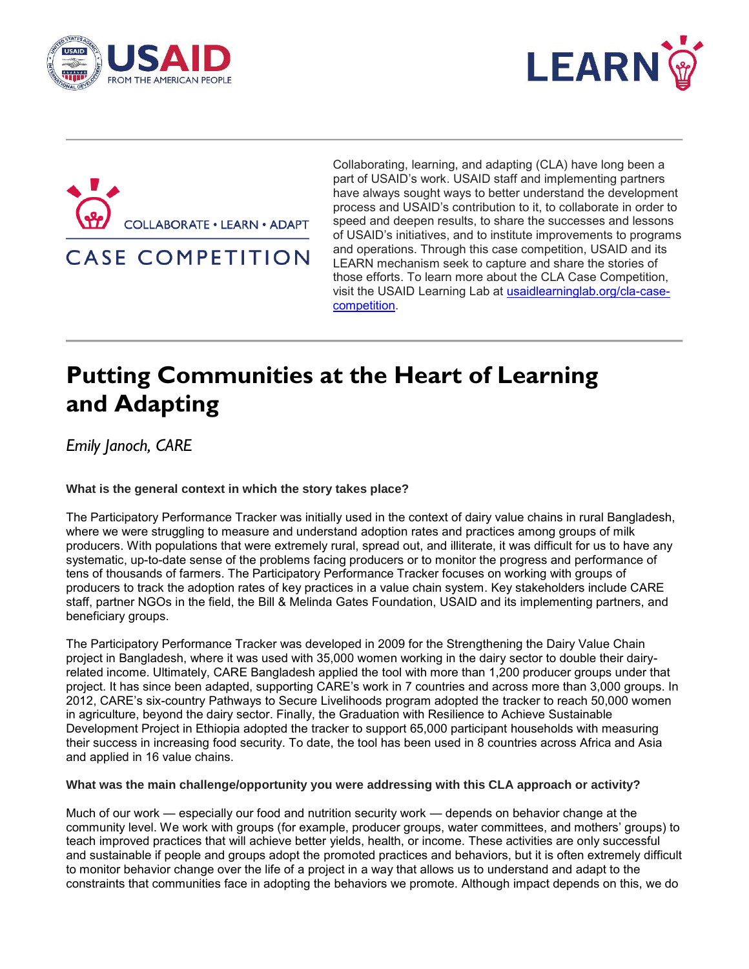





**CASE COMPETITION** 

Collaborating, learning, and adapting (CLA) have long been a part of USAID's work. USAID staff and implementing partners have always sought ways to better understand the development process and USAID's contribution to it, to collaborate in order to speed and deepen results, to share the successes and lessons of USAID's initiatives, and to institute improvements to programs and operations. Through this case competition, USAID and its LEARN mechanism seek to capture and share the stories of those efforts. To learn more about the CLA Case Competition, visit the USAID Learning Lab at [usaidlearninglab.org/cla-case](http://usaidlearninglab.org/cla-case-competition)[competition.](http://usaidlearninglab.org/cla-case-competition)

# **Putting Communities at the Heart of Learning and Adapting**

*Emily Janoch, CARE*

**What is the general context in which the story takes place?** 

The Participatory Performance Tracker was initially used in the context of dairy value chains in rural Bangladesh, where we were struggling to measure and understand adoption rates and practices among groups of milk producers. With populations that were extremely rural, spread out, and illiterate, it was difficult for us to have any systematic, up-to-date sense of the problems facing producers or to monitor the progress and performance of tens of thousands of farmers. The Participatory Performance Tracker focuses on working with groups of producers to track the adoption rates of key practices in a value chain system. Key stakeholders include CARE staff, partner NGOs in the field, the Bill & Melinda Gates Foundation, USAID and its implementing partners, and beneficiary groups.

The Participatory Performance Tracker was developed in 2009 for the Strengthening the Dairy Value Chain project in Bangladesh, where it was used with 35,000 women working in the dairy sector to double their dairyrelated income. Ultimately, CARE Bangladesh applied the tool with more than 1,200 producer groups under that project. It has since been adapted, supporting CARE's work in 7 countries and across more than 3,000 groups. In 2012, CARE's six-country Pathways to Secure Livelihoods program adopted the tracker to reach 50,000 women in agriculture, beyond the dairy sector. Finally, the Graduation with Resilience to Achieve Sustainable Development Project in Ethiopia adopted the tracker to support 65,000 participant households with measuring their success in increasing food security. To date, the tool has been used in 8 countries across Africa and Asia and applied in 16 value chains.

**What was the main challenge/opportunity you were addressing with this CLA approach or activity?** 

Much of our work — especially our food and nutrition security work — depends on behavior change at the community level. We work with groups (for example, producer groups, water committees, and mothers' groups) to teach improved practices that will achieve better yields, health, or income. These activities are only successful and sustainable if people and groups adopt the promoted practices and behaviors, but it is often extremely difficult to monitor behavior change over the life of a project in a way that allows us to understand and adapt to the constraints that communities face in adopting the behaviors we promote. Although impact depends on this, we do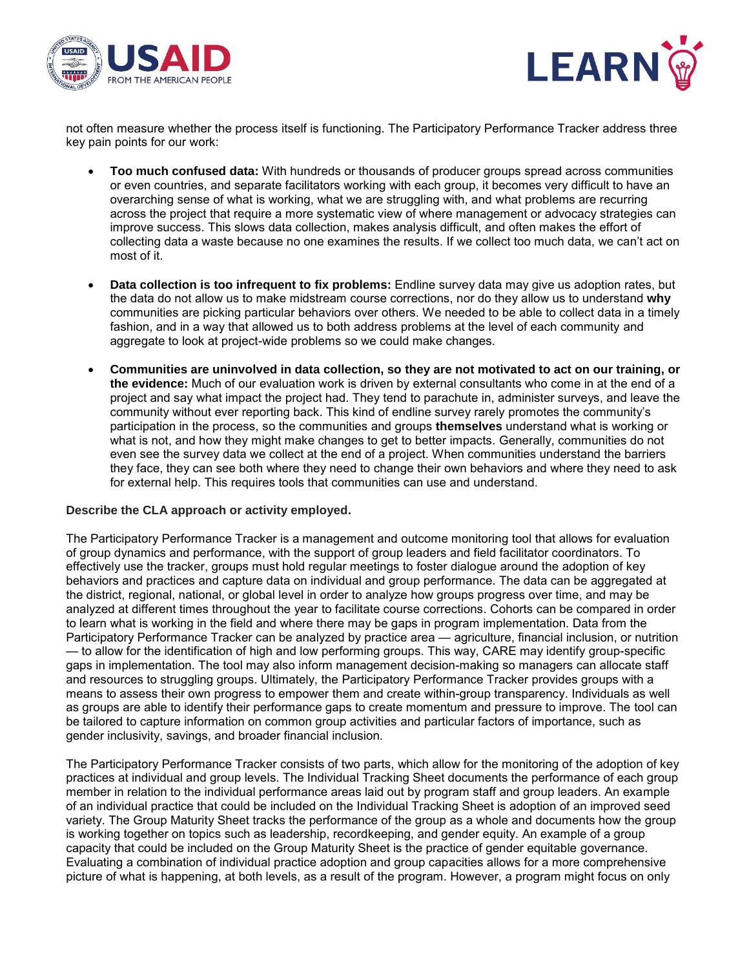



not often measure whether the process itself is functioning. The Participatory Performance Tracker address three key pain points for our work:

- **Too much confused data:** With hundreds or thousands of producer groups spread across communities or even countries, and separate facilitators working with each group, it becomes very difficult to have an overarching sense of what is working, what we are struggling with, and what problems are recurring across the project that require a more systematic view of where management or advocacy strategies can improve success. This slows data collection, makes analysis difficult, and often makes the effort of collecting data a waste because no one examines the results. If we collect too much data, we can't act on most of it.
- **Data collection is too infrequent to fix problems:** Endline survey data may give us adoption rates, but the data do not allow us to make midstream course corrections, nor do they allow us to understand **why** communities are picking particular behaviors over others. We needed to be able to collect data in a timely fashion, and in a way that allowed us to both address problems at the level of each community and aggregate to look at project-wide problems so we could make changes.
- **Communities are uninvolved in data collection, so they are not motivated to act on our training, or the evidence:** Much of our evaluation work is driven by external consultants who come in at the end of a project and say what impact the project had. They tend to parachute in, administer surveys, and leave the community without ever reporting back. This kind of endline survey rarely promotes the community's participation in the process, so the communities and groups **themselves** understand what is working or what is not, and how they might make changes to get to better impacts. Generally, communities do not even see the survey data we collect at the end of a project. When communities understand the barriers they face, they can see both where they need to change their own behaviors and where they need to ask for external help. This requires tools that communities can use and understand.

## **Describe the CLA approach or activity employed.**

The Participatory Performance Tracker is a management and outcome monitoring tool that allows for evaluation of group dynamics and performance, with the support of group leaders and field facilitator coordinators. To effectively use the tracker, groups must hold regular meetings to foster dialogue around the adoption of key behaviors and practices and capture data on individual and group performance. The data can be aggregated at the district, regional, national, or global level in order to analyze how groups progress over time, and may be analyzed at different times throughout the year to facilitate course corrections. Cohorts can be compared in order to learn what is working in the field and where there may be gaps in program implementation. Data from the Participatory Performance Tracker can be analyzed by practice area — agriculture, financial inclusion, or nutrition — to allow for the identification of high and low performing groups. This way, CARE may identify group-specific gaps in implementation. The tool may also inform management decision-making so managers can allocate staff and resources to struggling groups. Ultimately, the Participatory Performance Tracker provides groups with a means to assess their own progress to empower them and create within-group transparency. Individuals as well as groups are able to identify their performance gaps to create momentum and pressure to improve. The tool can be tailored to capture information on common group activities and particular factors of importance, such as gender inclusivity, savings, and broader financial inclusion.

The Participatory Performance Tracker consists of two parts, which allow for the monitoring of the adoption of key practices at individual and group levels. The Individual Tracking Sheet documents the performance of each group member in relation to the individual performance areas laid out by program staff and group leaders. An example of an individual practice that could be included on the Individual Tracking Sheet is adoption of an improved seed variety. The Group Maturity Sheet tracks the performance of the group as a whole and documents how the group is working together on topics such as leadership, recordkeeping, and gender equity. An example of a group capacity that could be included on the Group Maturity Sheet is the practice of gender equitable governance. Evaluating a combination of individual practice adoption and group capacities allows for a more comprehensive picture of what is happening, at both levels, as a result of the program. However, a program might focus on only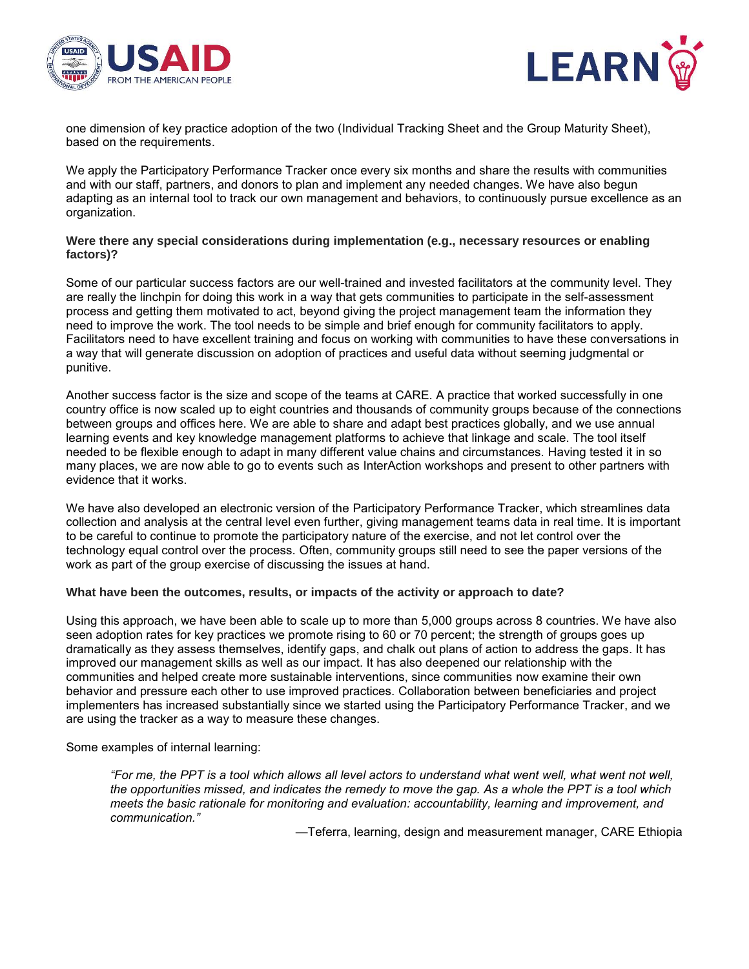



one dimension of key practice adoption of the two (Individual Tracking Sheet and the Group Maturity Sheet), based on the requirements.

We apply the Participatory Performance Tracker once every six months and share the results with communities and with our staff, partners, and donors to plan and implement any needed changes. We have also begun adapting as an internal tool to track our own management and behaviors, to continuously pursue excellence as an organization.

#### **Were there any special considerations during implementation (e.g., necessary resources or enabling factors)?**

Some of our particular success factors are our well-trained and invested facilitators at the community level. They are really the linchpin for doing this work in a way that gets communities to participate in the self-assessment process and getting them motivated to act, beyond giving the project management team the information they need to improve the work. The tool needs to be simple and brief enough for community facilitators to apply. Facilitators need to have excellent training and focus on working with communities to have these conversations in a way that will generate discussion on adoption of practices and useful data without seeming judgmental or punitive.

Another success factor is the size and scope of the teams at CARE. A practice that worked successfully in one country office is now scaled up to eight countries and thousands of community groups because of the connections between groups and offices here. We are able to share and adapt best practices globally, and we use annual learning events and key knowledge management platforms to achieve that linkage and scale. The tool itself needed to be flexible enough to adapt in many different value chains and circumstances. Having tested it in so many places, we are now able to go to events such as InterAction workshops and present to other partners with evidence that it works.

We have also developed an electronic version of the Participatory Performance Tracker, which streamlines data collection and analysis at the central level even further, giving management teams data in real time. It is important to be careful to continue to promote the participatory nature of the exercise, and not let control over the technology equal control over the process. Often, community groups still need to see the paper versions of the work as part of the group exercise of discussing the issues at hand.

# **What have been the outcomes, results, or impacts of the activity or approach to date?**

Using this approach, we have been able to scale up to more than 5,000 groups across 8 countries. We have also seen adoption rates for key practices we promote rising to 60 or 70 percent; the strength of groups goes up dramatically as they assess themselves, identify gaps, and chalk out plans of action to address the gaps. It has improved our management skills as well as our impact. It has also deepened our relationship with the communities and helped create more sustainable interventions, since communities now examine their own behavior and pressure each other to use improved practices. Collaboration between beneficiaries and project implementers has increased substantially since we started using the Participatory Performance Tracker, and we are using the tracker as a way to measure these changes.

Some examples of internal learning:

*"For me, the PPT is a tool which allows all level actors to understand what went well, what went not well, the opportunities missed, and indicates the remedy to move the gap. As a whole the PPT is a tool which meets the basic rationale for monitoring and evaluation: accountability, learning and improvement, and communication."*

—Teferra, learning, design and measurement manager, CARE Ethiopia